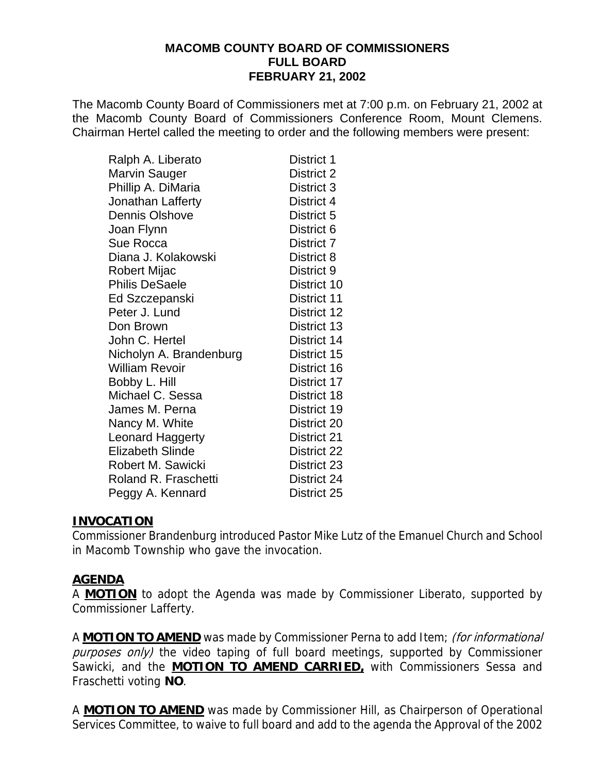#### **MACOMB COUNTY BOARD OF COMMISSIONERS FULL BOARD FEBRUARY 21, 2002**

The Macomb County Board of Commissioners met at 7:00 p.m. on February 21, 2002 at the Macomb County Board of Commissioners Conference Room, Mount Clemens. Chairman Hertel called the meeting to order and the following members were present:

| Ralph A. Liberato       | District 1  |
|-------------------------|-------------|
| <b>Marvin Sauger</b>    | District 2  |
| Phillip A. DiMaria      | District 3  |
| Jonathan Lafferty       | District 4  |
| <b>Dennis Olshove</b>   | District 5  |
| Joan Flynn              | District 6  |
| Sue Rocca               | District 7  |
| Diana J. Kolakowski     | District 8  |
| Robert Mijac            | District 9  |
| <b>Philis DeSaele</b>   | District 10 |
| Ed Szczepanski          | District 11 |
| Peter J. Lund           | District 12 |
| Don Brown               | District 13 |
| John C. Hertel          | District 14 |
| Nicholyn A. Brandenburg | District 15 |
| <b>William Revoir</b>   | District 16 |
| Bobby L. Hill           | District 17 |
| Michael C. Sessa        | District 18 |
| James M. Perna          | District 19 |
| Nancy M. White          | District 20 |
| <b>Leonard Haggerty</b> | District 21 |
| <b>Elizabeth Slinde</b> | District 22 |
| Robert M. Sawicki       | District 23 |
| Roland R. Fraschetti    | District 24 |
| Peggy A. Kennard        | District 25 |

# **INVOCATION**

Commissioner Brandenburg introduced Pastor Mike Lutz of the Emanuel Church and School in Macomb Township who gave the invocation.

# **AGENDA**

A **MOTION** to adopt the Agenda was made by Commissioner Liberato, supported by Commissioner Lafferty.

A **MOTION TO AMEND** was made by Commissioner Perna to add Item; (for informational purposes only) the video taping of full board meetings, supported by Commissioner Sawicki, and the **MOTION TO AMEND CARRIED,** with Commissioners Sessa and Fraschetti voting **NO**.

A **MOTION TO AMEND** was made by Commissioner Hill, as Chairperson of Operational Services Committee, to waive to full board and add to the agenda the Approval of the 2002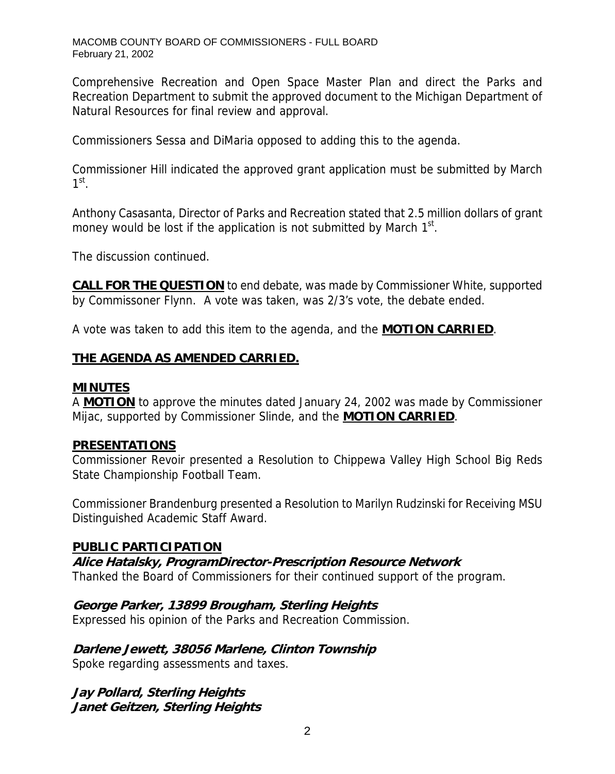Comprehensive Recreation and Open Space Master Plan and direct the Parks and Recreation Department to submit the approved document to the Michigan Department of Natural Resources for final review and approval.

Commissioners Sessa and DiMaria opposed to adding this to the agenda.

Commissioner Hill indicated the approved grant application must be submitted by March  $1<sup>st</sup>$ .

Anthony Casasanta, Director of Parks and Recreation stated that 2.5 million dollars of grant money would be lost if the application is not submitted by March  $1<sup>st</sup>$ .

The discussion continued.

**CALL FOR THE QUESTION** to end debate, was made by Commissioner White, supported by Commissoner Flynn. A vote was taken, was 2/3's vote, the debate ended.

A vote was taken to add this item to the agenda, and the **MOTION CARRIED**.

# **THE AGENDA AS AMENDED CARRIED.**

#### **MINUTES**

A **MOTION** to approve the minutes dated January 24, 2002 was made by Commissioner Mijac, supported by Commissioner Slinde, and the **MOTION CARRIED**.

#### **PRESENTATIONS**

Commissioner Revoir presented a Resolution to Chippewa Valley High School Big Reds State Championship Football Team.

Commissioner Brandenburg presented a Resolution to Marilyn Rudzinski for Receiving MSU Distinguished Academic Staff Award.

#### **PUBLIC PARTICIPATION**

**Alice Hatalsky, ProgramDirector-Prescription Resource Network** 

Thanked the Board of Commissioners for their continued support of the program.

# **George Parker, 13899 Brougham, Sterling Heights**

Expressed his opinion of the Parks and Recreation Commission.

# **Darlene Jewett, 38056 Marlene, Clinton Township**

Spoke regarding assessments and taxes.

**Jay Pollard, Sterling Heights Janet Geitzen, Sterling Heights**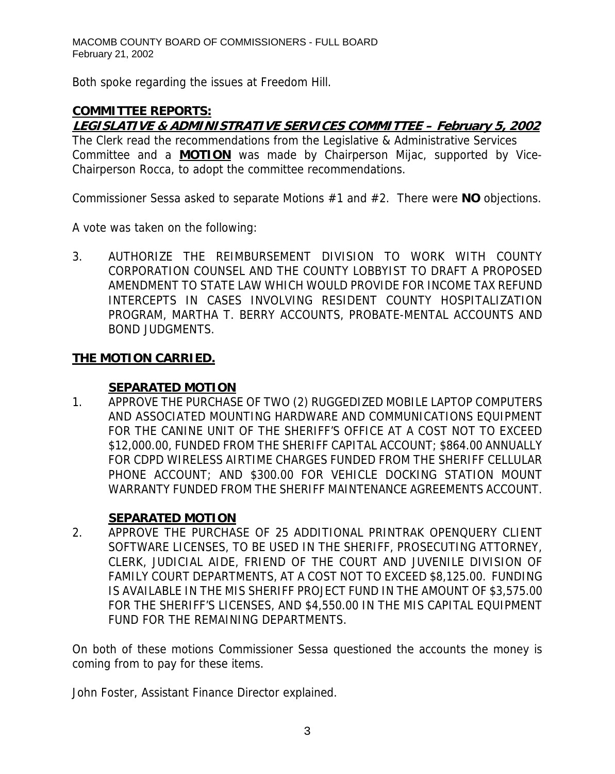Both spoke regarding the issues at Freedom Hill.

# **COMMITTEE REPORTS:**

# **LEGISLATIVE & ADMINISTRATIVE SERVICES COMMITTEE – February 5, 2002**

The Clerk read the recommendations from the Legislative & Administrative Services Committee and a **MOTION** was made by Chairperson Mijac, supported by Vice-Chairperson Rocca, to adopt the committee recommendations.

Commissioner Sessa asked to separate Motions #1 and #2. There were **NO** objections.

A vote was taken on the following:

3. AUTHORIZE THE REIMBURSEMENT DIVISION TO WORK WITH COUNTY CORPORATION COUNSEL AND THE COUNTY LOBBYIST TO DRAFT A PROPOSED AMENDMENT TO STATE LAW WHICH WOULD PROVIDE FOR INCOME TAX REFUND INTERCEPTS IN CASES INVOLVING RESIDENT COUNTY HOSPITALIZATION PROGRAM, MARTHA T. BERRY ACCOUNTS, PROBATE-MENTAL ACCOUNTS AND BOND JUDGMENTS.

# **THE MOTION CARRIED.**

# **SEPARATED MOTION**

1. APPROVE THE PURCHASE OF TWO (2) RUGGEDIZED MOBILE LAPTOP COMPUTERS AND ASSOCIATED MOUNTING HARDWARE AND COMMUNICATIONS EQUIPMENT FOR THE CANINE UNIT OF THE SHERIFF'S OFFICE AT A COST NOT TO EXCEED \$12,000.00, FUNDED FROM THE SHERIFF CAPITAL ACCOUNT; \$864.00 ANNUALLY FOR CDPD WIRELESS AIRTIME CHARGES FUNDED FROM THE SHERIFF CELLULAR PHONE ACCOUNT; AND \$300.00 FOR VEHICLE DOCKING STATION MOUNT WARRANTY FUNDED FROM THE SHERIFF MAINTENANCE AGREEMENTS ACCOUNT.

# **SEPARATED MOTION**

2. APPROVE THE PURCHASE OF 25 ADDITIONAL PRINTRAK OPENQUERY CLIENT SOFTWARE LICENSES, TO BE USED IN THE SHERIFF, PROSECUTING ATTORNEY, CLERK, JUDICIAL AIDE, FRIEND OF THE COURT AND JUVENILE DIVISION OF FAMILY COURT DEPARTMENTS, AT A COST NOT TO EXCEED \$8,125.00. FUNDING IS AVAILABLE IN THE MIS SHERIFF PROJECT FUND IN THE AMOUNT OF \$3,575.00 FOR THE SHERIFF'S LICENSES, AND \$4,550.00 IN THE MIS CAPITAL EQUIPMENT FUND FOR THE REMAINING DEPARTMENTS.

On both of these motions Commissioner Sessa questioned the accounts the money is coming from to pay for these items.

John Foster, Assistant Finance Director explained.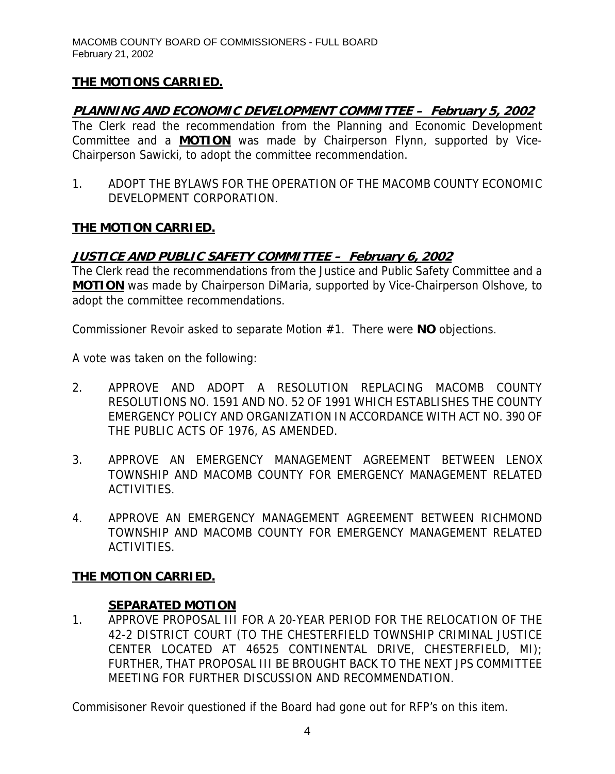# **THE MOTIONS CARRIED.**

# **PLANNING AND ECONOMIC DEVELOPMENT COMMITTEE – February 5, 2002**

The Clerk read the recommendation from the Planning and Economic Development Committee and a **MOTION** was made by Chairperson Flynn, supported by Vice-Chairperson Sawicki, to adopt the committee recommendation.

1. ADOPT THE BYLAWS FOR THE OPERATION OF THE MACOMB COUNTY ECONOMIC DEVELOPMENT CORPORATION.

#### **THE MOTION CARRIED.**

# **JUSTICE AND PUBLIC SAFETY COMMITTEE – February 6, 2002**

The Clerk read the recommendations from the Justice and Public Safety Committee and a **MOTION** was made by Chairperson DiMaria, supported by Vice-Chairperson Olshove, to adopt the committee recommendations.

Commissioner Revoir asked to separate Motion #1. There were **NO** objections.

A vote was taken on the following:

- 2. APPROVE AND ADOPT A RESOLUTION REPLACING MACOMB COUNTY RESOLUTIONS NO. 1591 AND NO. 52 OF 1991 WHICH ESTABLISHES THE COUNTY EMERGENCY POLICY AND ORGANIZATION IN ACCORDANCE WITH ACT NO. 390 OF THE PUBLIC ACTS OF 1976, AS AMENDED.
- 3. APPROVE AN EMERGENCY MANAGEMENT AGREEMENT BETWEEN LENOX TOWNSHIP AND MACOMB COUNTY FOR EMERGENCY MANAGEMENT RELATED ACTIVITIES.
- 4. APPROVE AN EMERGENCY MANAGEMENT AGREEMENT BETWEEN RICHMOND TOWNSHIP AND MACOMB COUNTY FOR EMERGENCY MANAGEMENT RELATED ACTIVITIES.

# **THE MOTION CARRIED.**

#### **SEPARATED MOTION**

1. APPROVE PROPOSAL III FOR A 20-YEAR PERIOD FOR THE RELOCATION OF THE 42-2 DISTRICT COURT (TO THE CHESTERFIELD TOWNSHIP CRIMINAL JUSTICE CENTER LOCATED AT 46525 CONTINENTAL DRIVE, CHESTERFIELD, MI); FURTHER, THAT PROPOSAL III BE BROUGHT BACK TO THE NEXT JPS COMMITTEE MEETING FOR FURTHER DISCUSSION AND RECOMMENDATION.

Commisisoner Revoir questioned if the Board had gone out for RFP's on this item.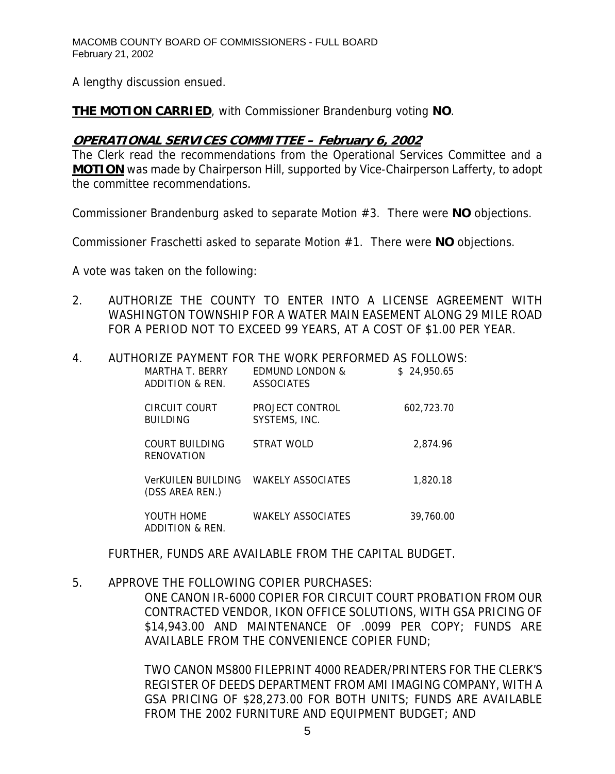A lengthy discussion ensued.

**THE MOTION CARRIED**, with Commissioner Brandenburg voting **NO**.

# **OPERATIONAL SERVICES COMMITTEE – February 6, 2002**

The Clerk read the recommendations from the Operational Services Committee and a **MOTION** was made by Chairperson Hill, supported by Vice-Chairperson Lafferty, to adopt the committee recommendations.

Commissioner Brandenburg asked to separate Motion #3. There were **NO** objections.

Commissioner Fraschetti asked to separate Motion #1. There were **NO** objections.

A vote was taken on the following:

2. AUTHORIZE THE COUNTY TO ENTER INTO A LICENSE AGREEMENT WITH WASHINGTON TOWNSHIP FOR A WATER MAIN EASEMENT ALONG 29 MILE ROAD FOR A PERIOD NOT TO EXCEED 99 YEARS, AT A COST OF \$1.00 PER YEAR.

#### 4. AUTHORIZE PAYMENT FOR THE WORK PERFORMED AS FOLLOWS:

| MARTHA T. BERRY<br>ADDITION & REN.    | <b>FDMUND LONDON &amp;</b><br><b>ASSOCIATES</b> | \$24,950.65 |
|---------------------------------------|-------------------------------------------------|-------------|
| CIRCUIT COURT<br><b>BUILDING</b>      | PROJECT CONTROL<br>SYSTEMS, INC.                | 602.723.70  |
| COURT BUILDING<br>RENOVATION          | STRAT WOLD                                      | 2.874.96    |
| VerKUILEN BUILDING<br>(DSS AREA REN.) | <b>WAKELY ASSOCIATES</b>                        | 1.820.18    |
| YOUTH HOME<br>ADDITION & REN.         | <b>WAKELY ASSOCIATES</b>                        | 39,760.00   |

FURTHER, FUNDS ARE AVAILABLE FROM THE CAPITAL BUDGET.

# 5. APPROVE THE FOLLOWING COPIER PURCHASES:

ONE CANON IR-6000 COPIER FOR CIRCUIT COURT PROBATION FROM OUR CONTRACTED VENDOR, IKON OFFICE SOLUTIONS, WITH GSA PRICING OF \$14,943.00 AND MAINTENANCE OF .0099 PER COPY; FUNDS ARE AVAILABLE FROM THE CONVENIENCE COPIER FUND;

TWO CANON MS800 FILEPRINT 4000 READER/PRINTERS FOR THE CLERK'S REGISTER OF DEEDS DEPARTMENT FROM AMI IMAGING COMPANY, WITH A GSA PRICING OF \$28,273.00 FOR BOTH UNITS; FUNDS ARE AVAILABLE FROM THE 2002 FURNITURE AND EQUIPMENT BUDGET; AND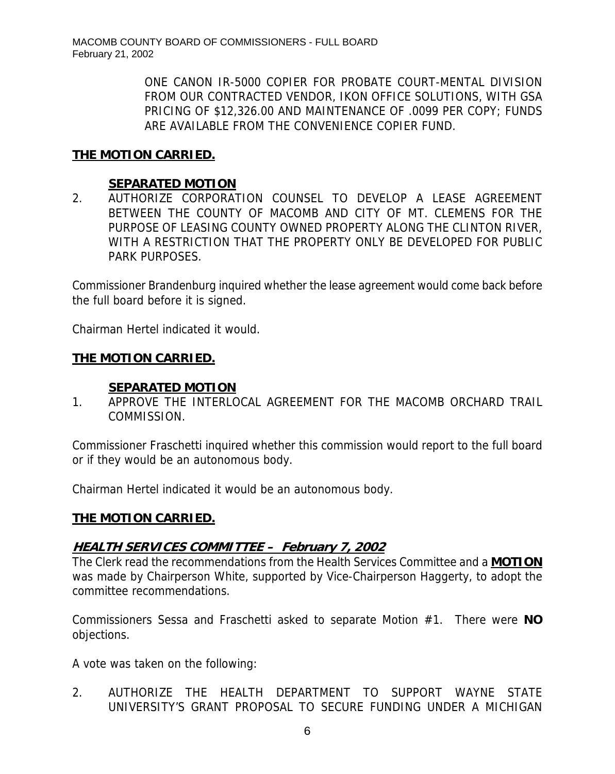ONE CANON IR-5000 COPIER FOR PROBATE COURT-MENTAL DIVISION FROM OUR CONTRACTED VENDOR, IKON OFFICE SOLUTIONS, WITH GSA PRICING OF \$12,326.00 AND MAINTENANCE OF .0099 PER COPY; FUNDS ARE AVAILABLE FROM THE CONVENIENCE COPIER FUND.

# **THE MOTION CARRIED.**

# **SEPARATED MOTION**

2. AUTHORIZE CORPORATION COUNSEL TO DEVELOP A LEASE AGREEMENT BETWEEN THE COUNTY OF MACOMB AND CITY OF MT. CLEMENS FOR THE PURPOSE OF LEASING COUNTY OWNED PROPERTY ALONG THE CLINTON RIVER, WITH A RESTRICTION THAT THE PROPERTY ONLY BE DEVELOPED FOR PUBLIC PARK PURPOSES.

Commissioner Brandenburg inquired whether the lease agreement would come back before the full board before it is signed.

Chairman Hertel indicated it would.

# **THE MOTION CARRIED.**

#### **SEPARATED MOTION**

1. APPROVE THE INTERLOCAL AGREEMENT FOR THE MACOMB ORCHARD TRAIL COMMISSION.

Commissioner Fraschetti inquired whether this commission would report to the full board or if they would be an autonomous body.

Chairman Hertel indicated it would be an autonomous body.

#### **THE MOTION CARRIED.**

# **HEALTH SERVICES COMMITTEE – February 7, 2002**

The Clerk read the recommendations from the Health Services Committee and a **MOTION** was made by Chairperson White, supported by Vice-Chairperson Haggerty, to adopt the committee recommendations.

Commissioners Sessa and Fraschetti asked to separate Motion #1. There were **NO** objections.

A vote was taken on the following:

2. AUTHORIZE THE HEALTH DEPARTMENT TO SUPPORT WAYNE STATE UNIVERSITY'S GRANT PROPOSAL TO SECURE FUNDING UNDER A MICHIGAN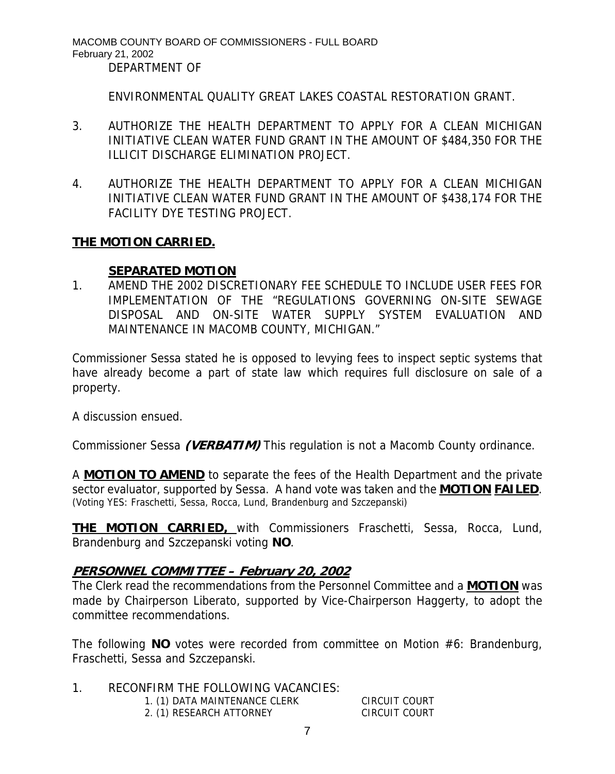MACOMB COUNTY BOARD OF COMMISSIONERS - FULL BOARD February 21, 2002 DEPARTMENT OF

ENVIRONMENTAL QUALITY GREAT LAKES COASTAL RESTORATION GRANT.

- 3. AUTHORIZE THE HEALTH DEPARTMENT TO APPLY FOR A CLEAN MICHIGAN INITIATIVE CLEAN WATER FUND GRANT IN THE AMOUNT OF \$484,350 FOR THE ILLICIT DISCHARGE ELIMINATION PROJECT.
- 4. AUTHORIZE THE HEALTH DEPARTMENT TO APPLY FOR A CLEAN MICHIGAN INITIATIVE CLEAN WATER FUND GRANT IN THE AMOUNT OF \$438,174 FOR THE FACILITY DYE TESTING PROJECT.

#### **THE MOTION CARRIED.**

#### **SEPARATED MOTION**

1. AMEND THE 2002 DISCRETIONARY FEE SCHEDULE TO INCLUDE USER FEES FOR IMPLEMENTATION OF THE "REGULATIONS GOVERNING ON-SITE SEWAGE DISPOSAL AND ON-SITE WATER SUPPLY SYSTEM EVALUATION AND MAINTENANCE IN MACOMB COUNTY, MICHIGAN."

Commissioner Sessa stated he is opposed to levying fees to inspect septic systems that have already become a part of state law which requires full disclosure on sale of a property.

A discussion ensued.

Commissioner Sessa **(VERBATIM)** This regulation is not a Macomb County ordinance.

A **MOTION TO AMEND** to separate the fees of the Health Department and the private sector evaluator, supported by Sessa. A hand vote was taken and the **MOTION FAILED**. (Voting YES: Fraschetti, Sessa, Rocca, Lund, Brandenburg and Szczepanski)

**THE MOTION CARRIED,** with Commissioners Fraschetti, Sessa, Rocca, Lund, Brandenburg and Szczepanski voting **NO**.

# **PERSONNEL COMMITTEE – February 20, 2002**

The Clerk read the recommendations from the Personnel Committee and a **MOTION** was made by Chairperson Liberato, supported by Vice-Chairperson Haggerty, to adopt the committee recommendations.

The following **NO** votes were recorded from committee on Motion #6: Brandenburg, Fraschetti, Sessa and Szczepanski.

- 1. RECONFIRM THE FOLLOWING VACANCIES:
	- 1. (1) DATA MAINTENANCE CLERK CIRCUIT COURT
	- 2. (1) RESEARCH ATTORNEY CIRCUIT COURT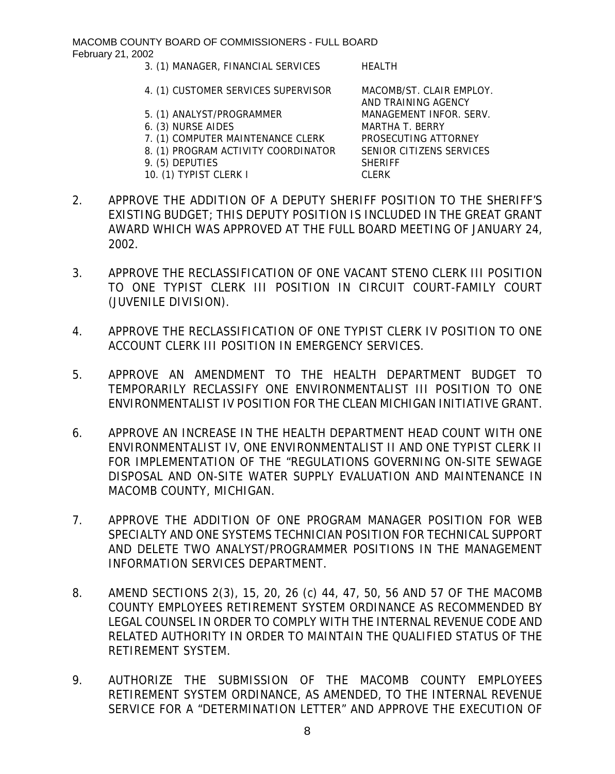- 3. (1) MANAGER, FINANCIAL SERVICES HEALTH
- 4. (1) CUSTOMER SERVICES SUPERVISOR MACOMB/ST. CLAIR EMPLOY.
- 5. (1) ANALYST/PROGRAMMER MANAGEMENT INFOR. SERV.
- 6. (3) NURSE AIDES MARTHA T. BERRY
- 7. (1) COMPUTER MAINTENANCE CLERK PROSECUTING ATTORNEY
- 8. (1) PROGRAM ACTIVITY COORDINATOR SENIOR CITIZENS SERVICES
- 9. (5) DEPUTIES SHERIFF
- 10. (1) TYPIST CLERK I CLERK

AND TRAINING AGENCY

- 2. APPROVE THE ADDITION OF A DEPUTY SHERIFF POSITION TO THE SHERIFF'S EXISTING BUDGET; THIS DEPUTY POSITION IS INCLUDED IN THE GREAT GRANT AWARD WHICH WAS APPROVED AT THE FULL BOARD MEETING OF JANUARY 24, 2002.
- 3. APPROVE THE RECLASSIFICATION OF ONE VACANT STENO CLERK III POSITION TO ONE TYPIST CLERK III POSITION IN CIRCUIT COURT-FAMILY COURT (JUVENILE DIVISION).
- 4. APPROVE THE RECLASSIFICATION OF ONE TYPIST CLERK IV POSITION TO ONE ACCOUNT CLERK III POSITION IN EMERGENCY SERVICES.
- 5. APPROVE AN AMENDMENT TO THE HEALTH DEPARTMENT BUDGET TO TEMPORARILY RECLASSIFY ONE ENVIRONMENTALIST III POSITION TO ONE ENVIRONMENTALIST IV POSITION FOR THE CLEAN MICHIGAN INITIATIVE GRANT.
- 6. APPROVE AN INCREASE IN THE HEALTH DEPARTMENT HEAD COUNT WITH ONE ENVIRONMENTALIST IV, ONE ENVIRONMENTALIST II AND ONE TYPIST CLERK II FOR IMPLEMENTATION OF THE "REGULATIONS GOVERNING ON-SITE SEWAGE DISPOSAL AND ON-SITE WATER SUPPLY EVALUATION AND MAINTENANCE IN MACOMB COUNTY, MICHIGAN.
- 7. APPROVE THE ADDITION OF ONE PROGRAM MANAGER POSITION FOR WEB SPECIALTY AND ONE SYSTEMS TECHNICIAN POSITION FOR TECHNICAL SUPPORT AND DELETE TWO ANALYST/PROGRAMMER POSITIONS IN THE MANAGEMENT INFORMATION SERVICES DEPARTMENT.
- 8. AMEND SECTIONS 2(3), 15, 20, 26 (c) 44, 47, 50, 56 AND 57 OF THE MACOMB COUNTY EMPLOYEES RETIREMENT SYSTEM ORDINANCE AS RECOMMENDED BY LEGAL COUNSEL IN ORDER TO COMPLY WITH THE INTERNAL REVENUE CODE AND RELATED AUTHORITY IN ORDER TO MAINTAIN THE QUALIFIED STATUS OF THE RETIREMENT SYSTEM.
- 9. AUTHORIZE THE SUBMISSION OF THE MACOMB COUNTY EMPLOYEES RETIREMENT SYSTEM ORDINANCE, AS AMENDED, TO THE INTERNAL REVENUE SERVICE FOR A "DETERMINATION LETTER" AND APPROVE THE EXECUTION OF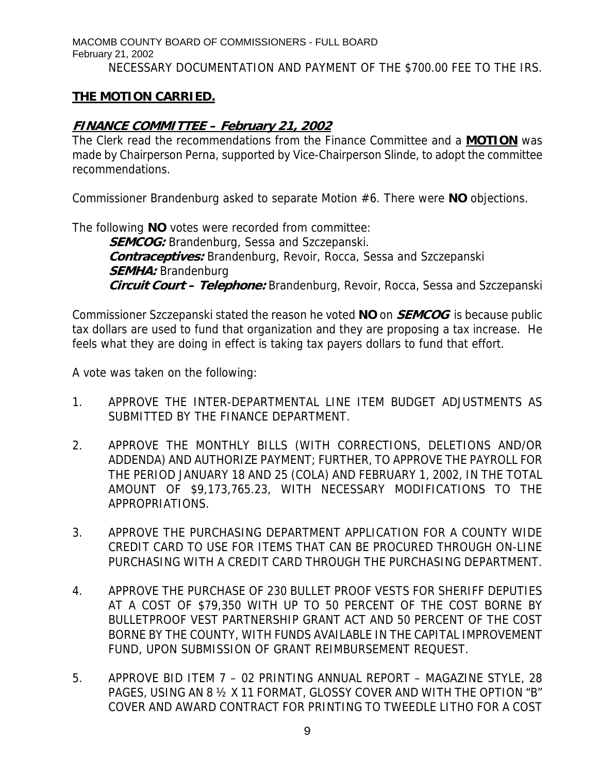MACOMB COUNTY BOARD OF COMMISSIONERS - FULL BOARD February 21, 2002 NECESSARY DOCUMENTATION AND PAYMENT OF THE \$700.00 FEE TO THE IRS.

# **THE MOTION CARRIED.**

### **FINANCE COMMITTEE – February 21, 2002**

The Clerk read the recommendations from the Finance Committee and a **MOTION** was made by Chairperson Perna, supported by Vice-Chairperson Slinde, to adopt the committee recommendations.

Commissioner Brandenburg asked to separate Motion #6. There were **NO** objections.

The following **NO** votes were recorded from committee: **SEMCOG:** Brandenburg, Sessa and Szczepanski. **Contraceptives:** Brandenburg, Revoir, Rocca, Sessa and Szczepanski **SEMHA:** Brandenburg **Circuit Court – Telephone:** Brandenburg, Revoir, Rocca, Sessa and Szczepanski

Commissioner Szczepanski stated the reason he voted **NO** on **SEMCOG** is because public tax dollars are used to fund that organization and they are proposing a tax increase. He feels what they are doing in effect is taking tax payers dollars to fund that effort.

A vote was taken on the following:

- 1. APPROVE THE INTER-DEPARTMENTAL LINE ITEM BUDGET ADJUSTMENTS AS SUBMITTED BY THE FINANCE DEPARTMENT.
- 2. APPROVE THE MONTHLY BILLS (WITH CORRECTIONS, DELETIONS AND/OR ADDENDA) AND AUTHORIZE PAYMENT; FURTHER, TO APPROVE THE PAYROLL FOR THE PERIOD JANUARY 18 AND 25 (COLA) AND FEBRUARY 1, 2002, IN THE TOTAL AMOUNT OF \$9,173,765.23, WITH NECESSARY MODIFICATIONS TO THE APPROPRIATIONS.
- 3. APPROVE THE PURCHASING DEPARTMENT APPLICATION FOR A COUNTY WIDE CREDIT CARD TO USE FOR ITEMS THAT CAN BE PROCURED THROUGH ON-LINE PURCHASING WITH A CREDIT CARD THROUGH THE PURCHASING DEPARTMENT.
- 4. APPROVE THE PURCHASE OF 230 BULLET PROOF VESTS FOR SHERIFF DEPUTIES AT A COST OF \$79,350 WITH UP TO 50 PERCENT OF THE COST BORNE BY BULLETPROOF VEST PARTNERSHIP GRANT ACT AND 50 PERCENT OF THE COST BORNE BY THE COUNTY, WITH FUNDS AVAILABLE IN THE CAPITAL IMPROVEMENT FUND, UPON SUBMISSION OF GRANT REIMBURSEMENT REQUEST.
- 5. APPROVE BID ITEM 7 02 PRINTING ANNUAL REPORT MAGAZINE STYLE, 28 PAGES, USING AN 8 ½ X 11 FORMAT, GLOSSY COVER AND WITH THE OPTION "B" COVER AND AWARD CONTRACT FOR PRINTING TO TWEEDLE LITHO FOR A COST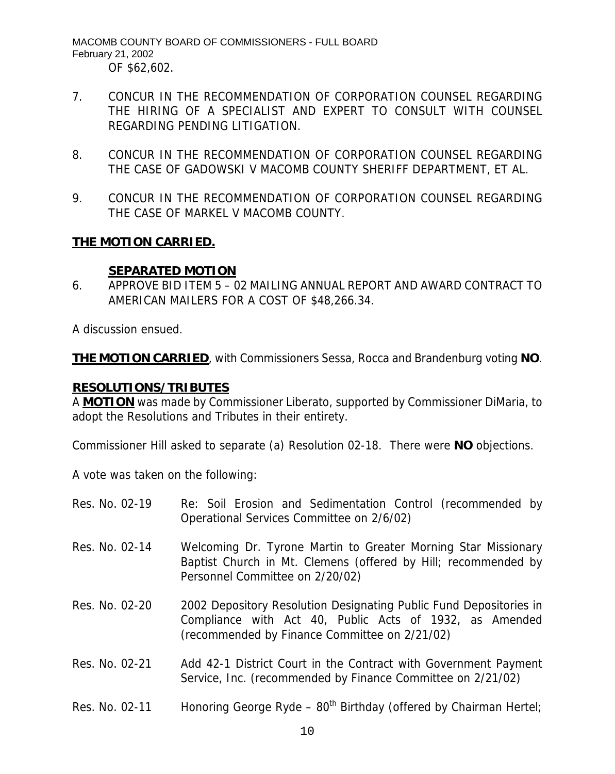MACOMB COUNTY BOARD OF COMMISSIONERS - FULL BOARD February 21, 2002 OF \$62,602.

- 7. CONCUR IN THE RECOMMENDATION OF CORPORATION COUNSEL REGARDING THE HIRING OF A SPECIALIST AND EXPERT TO CONSULT WITH COUNSEL REGARDING PENDING LITIGATION.
- 8. CONCUR IN THE RECOMMENDATION OF CORPORATION COUNSEL REGARDING THE CASE OF GADOWSKI V MACOMB COUNTY SHERIFF DEPARTMENT, ET AL.
- 9. CONCUR IN THE RECOMMENDATION OF CORPORATION COUNSEL REGARDING THE CASE OF MARKEL V MACOMB COUNTY.

# **THE MOTION CARRIED.**

#### **SEPARATED MOTION**

6. APPROVE BID ITEM 5 – 02 MAILING ANNUAL REPORT AND AWARD CONTRACT TO AMERICAN MAILERS FOR A COST OF \$48,266.34.

A discussion ensued.

**THE MOTION CARRIED**, with Commissioners Sessa, Rocca and Brandenburg voting **NO**.

#### **RESOLUTIONS/TRIBUTES**

A **MOTION** was made by Commissioner Liberato, supported by Commissioner DiMaria, to adopt the Resolutions and Tributes in their entirety.

Commissioner Hill asked to separate (a) Resolution 02-18. There were **NO** objections.

A vote was taken on the following:

| Res. No. 02-19 | Re: Soil Erosion and Sedimentation Control (recommended by<br>Operational Services Committee on 2/6/02)                                                                        |
|----------------|--------------------------------------------------------------------------------------------------------------------------------------------------------------------------------|
| Res. No. 02-14 | Welcoming Dr. Tyrone Martin to Greater Morning Star Missionary<br>Baptist Church in Mt. Clemens (offered by Hill; recommended by<br>Personnel Committee on 2/20/02)            |
| Res. No. 02-20 | 2002 Depository Resolution Designating Public Fund Depositories in<br>Compliance with Act 40, Public Acts of 1932, as Amended<br>(recommended by Finance Committee on 2/21/02) |
| Res. No. 02-21 | Add 42-1 District Court in the Contract with Government Payment<br>Service, Inc. (recommended by Finance Committee on 2/21/02)                                                 |
| Res. No. 02-11 | Honoring George Ryde - $80^{th}$ Birthday (offered by Chairman Hertel;                                                                                                         |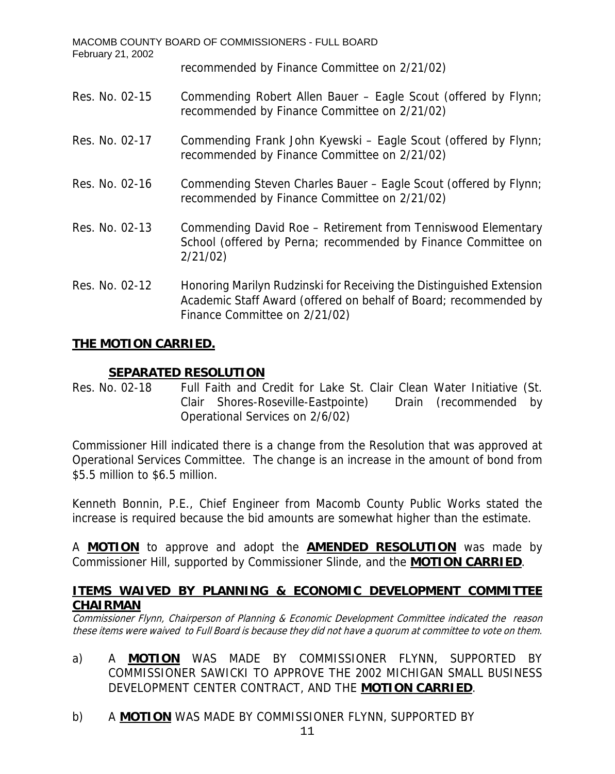| MACOMB COUNTY BOARD OF COMMISSIONERS - FULL BOARD<br>February 21, 2002 |                                                                                                                                                                           |  |  |  |
|------------------------------------------------------------------------|---------------------------------------------------------------------------------------------------------------------------------------------------------------------------|--|--|--|
|                                                                        | recommended by Finance Committee on 2/21/02)                                                                                                                              |  |  |  |
| Res. No. 02-15                                                         | Commending Robert Allen Bauer - Eagle Scout (offered by Flynn;<br>recommended by Finance Committee on 2/21/02)                                                            |  |  |  |
| Res. No. 02-17                                                         | Commending Frank John Kyewski - Eagle Scout (offered by Flynn;<br>recommended by Finance Committee on 2/21/02)                                                            |  |  |  |
| Res. No. 02-16                                                         | Commending Steven Charles Bauer – Eagle Scout (offered by Flynn;<br>recommended by Finance Committee on 2/21/02)                                                          |  |  |  |
| Res. No. 02-13                                                         | Commending David Roe - Retirement from Tenniswood Elementary<br>School (offered by Perna; recommended by Finance Committee on<br>2/21/02                                  |  |  |  |
| Res. No. 02-12                                                         | Honoring Marilyn Rudzinski for Receiving the Distinguished Extension<br>Academic Staff Award (offered on behalf of Board; recommended by<br>Finance Committee on 2/21/02) |  |  |  |

# **THE MOTION CARRIED.**

# **SEPARATED RESOLUTION**

Res. No. 02-18 Full Faith and Credit for Lake St. Clair Clean Water Initiative (St. Clair Shores-Roseville-Eastpointe) Drain (recommended by Operational Services on 2/6/02)

Commissioner Hill indicated there is a change from the Resolution that was approved at Operational Services Committee. The change is an increase in the amount of bond from \$5.5 million to \$6.5 million.

Kenneth Bonnin, P.E., Chief Engineer from Macomb County Public Works stated the increase is required because the bid amounts are somewhat higher than the estimate.

A **MOTION** to approve and adopt the **AMENDED RESOLUTION** was made by Commissioner Hill, supported by Commissioner Slinde, and the **MOTION CARRIED**.

# **ITEMS WAIVED BY PLANNING & ECONOMIC DEVELOPMENT COMMITTEE CHAIRMAN**

Commissioner Flynn, Chairperson of Planning & Economic Development Committee indicated the reason these items were waived to Full Board is because they did not have a quorum at committee to vote on them.

- a) A **MOTION** WAS MADE BY COMMISSIONER FLYNN, SUPPORTED BY COMMISSIONER SAWICKI TO APPROVE THE 2002 MICHIGAN SMALL BUSINESS DEVELOPMENT CENTER CONTRACT, AND THE **MOTION CARRIED**.
- b) A **MOTION** WAS MADE BY COMMISSIONER FLYNN, SUPPORTED BY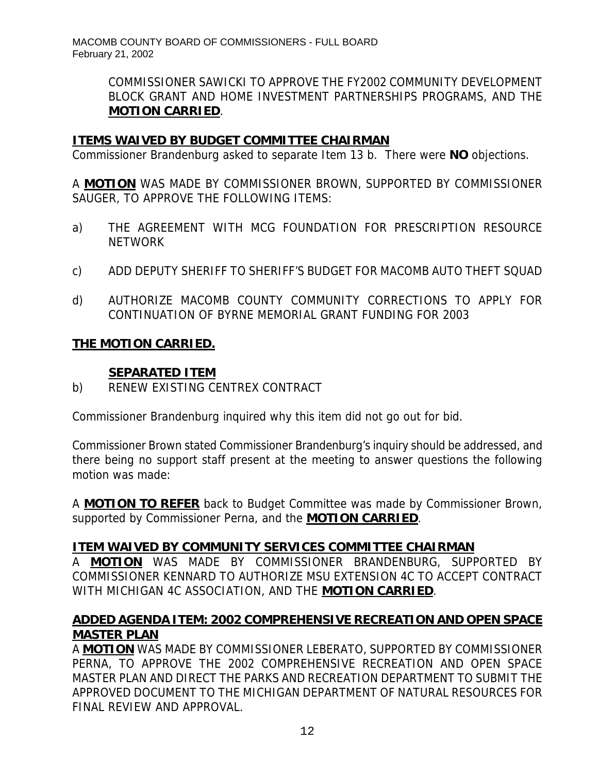COMMISSIONER SAWICKI TO APPROVE THE FY2002 COMMUNITY DEVELOPMENT BLOCK GRANT AND HOME INVESTMENT PARTNERSHIPS PROGRAMS, AND THE **MOTION CARRIED**.

# **ITEMS WAIVED BY BUDGET COMMITTEE CHAIRMAN**

Commissioner Brandenburg asked to separate Item 13 b. There were **NO** objections.

A **MOTION** WAS MADE BY COMMISSIONER BROWN, SUPPORTED BY COMMISSIONER SAUGER, TO APPROVE THE FOLLOWING ITEMS:

- a) THE AGREEMENT WITH MCG FOUNDATION FOR PRESCRIPTION RESOURCE **NFTWORK**
- c) ADD DEPUTY SHERIFF TO SHERIFF'S BUDGET FOR MACOMB AUTO THEFT SQUAD
- d) AUTHORIZE MACOMB COUNTY COMMUNITY CORRECTIONS TO APPLY FOR CONTINUATION OF BYRNE MEMORIAL GRANT FUNDING FOR 2003

# **THE MOTION CARRIED.**

# **SEPARATED ITEM**

b) RENEW EXISTING CENTREX CONTRACT

Commissioner Brandenburg inquired why this item did not go out for bid.

Commissioner Brown stated Commissioner Brandenburg's inquiry should be addressed, and there being no support staff present at the meeting to answer questions the following motion was made:

A **MOTION TO REFER** back to Budget Committee was made by Commissioner Brown, supported by Commissioner Perna, and the **MOTION CARRIED**.

# **ITEM WAIVED BY COMMUNITY SERVICES COMMITTEE CHAIRMAN**

A **MOTION** WAS MADE BY COMMISSIONER BRANDENBURG, SUPPORTED BY COMMISSIONER KENNARD TO AUTHORIZE MSU EXTENSION 4C TO ACCEPT CONTRACT WITH MICHIGAN 4C ASSOCIATION, AND THE **MOTION CARRIED**.

# **ADDED AGENDA ITEM: 2002 COMPREHENSIVE RECREATION AND OPEN SPACE MASTER PLAN**

A **MOTION** WAS MADE BY COMMISSIONER LEBERATO, SUPPORTED BY COMMISSIONER PERNA, TO APPROVE THE 2002 COMPREHENSIVE RECREATION AND OPEN SPACE MASTER PLAN AND DIRECT THE PARKS AND RECREATION DEPARTMENT TO SUBMIT THE APPROVED DOCUMENT TO THE MICHIGAN DEPARTMENT OF NATURAL RESOURCES FOR FINAL REVIEW AND APPROVAL.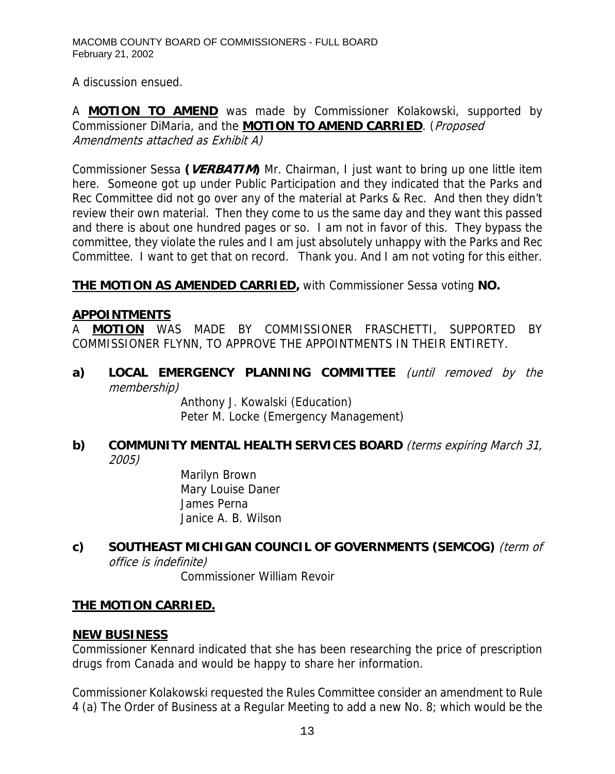A discussion ensued.

A **MOTION TO AMEND** was made by Commissioner Kolakowski, supported by Commissioner DiMaria, and the **MOTION TO AMEND CARRIED**. (Proposed Amendments attached as Exhibit A)

Commissioner Sessa **(VERBATIM)** Mr. Chairman, I just want to bring up one little item here. Someone got up under Public Participation and they indicated that the Parks and Rec Committee did not go over any of the material at Parks & Rec. And then they didn't review their own material. Then they come to us the same day and they want this passed and there is about one hundred pages or so. I am not in favor of this. They bypass the committee, they violate the rules and I am just absolutely unhappy with the Parks and Rec Committee. I want to get that on record. Thank you. And I am not voting for this either.

**THE MOTION AS AMENDED CARRIED,** with Commissioner Sessa voting **NO.** 

# **APPOINTMENTS**

A **MOTION** WAS MADE BY COMMISSIONER FRASCHETTI, SUPPORTED BY COMMISSIONER FLYNN, TO APPROVE THE APPOINTMENTS IN THEIR ENTIRETY.

**a) LOCAL EMERGENCY PLANNING COMMITTEE** (until removed by the membership)

Anthony J. Kowalski (Education) Peter M. Locke (Emergency Management)

# **b) COMMUNITY MENTAL HEALTH SERVICES BOARD** (terms expiring March 31, 2005)

Marilyn Brown Mary Louise Daner James Perna Janice A. B. Wilson

# **c) SOUTHEAST MICHIGAN COUNCIL OF GOVERNMENTS (SEMCOG)** (term of office is indefinite)

Commissioner William Revoir

# **THE MOTION CARRIED.**

# **NEW BUSINESS**

Commissioner Kennard indicated that she has been researching the price of prescription drugs from Canada and would be happy to share her information.

Commissioner Kolakowski requested the Rules Committee consider an amendment to Rule 4 (a) The Order of Business at a Regular Meeting to add a new No. 8; which would be the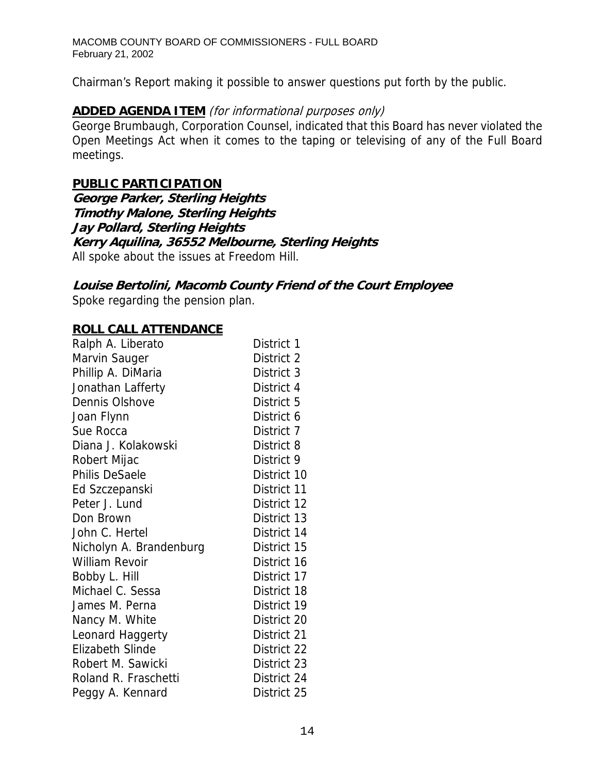Chairman's Report making it possible to answer questions put forth by the public.

### **ADDED AGENDA ITEM** (for informational purposes only)

George Brumbaugh, Corporation Counsel, indicated that this Board has never violated the Open Meetings Act when it comes to the taping or televising of any of the Full Board meetings.

#### **PUBLIC PARTICIPATION**

**George Parker, Sterling Heights Timothy Malone, Sterling Heights Jay Pollard, Sterling Heights Kerry Aquilina, 36552 Melbourne, Sterling Heights**  All spoke about the issues at Freedom Hill.

# **Louise Bertolini, Macomb County Friend of the Court Employee**

Spoke regarding the pension plan.

#### **ROLL CALL ATTENDANCE**

| Ralph A. Liberato       | District 1  |
|-------------------------|-------------|
| Marvin Sauger           | District 2  |
| Phillip A. DiMaria      | District 3  |
| Jonathan Lafferty       | District 4  |
| Dennis Olshove          | District 5  |
| Joan Flynn              | District 6  |
| Sue Rocca               | District 7  |
| Diana J. Kolakowski     | District 8  |
| Robert Mijac            | District 9  |
| <b>Philis DeSaele</b>   | District 10 |
| Ed Szczepanski          | District 11 |
| Peter J. Lund           | District 12 |
| Don Brown               | District 13 |
| John C. Hertel          | District 14 |
| Nicholyn A. Brandenburg | District 15 |
| <b>William Revoir</b>   | District 16 |
| Bobby L. Hill           | District 17 |
| Michael C. Sessa        | District 18 |
| James M. Perna          | District 19 |
| Nancy M. White          | District 20 |
| Leonard Haggerty        | District 21 |
| <b>Elizabeth Slinde</b> | District 22 |
| Robert M. Sawicki       | District 23 |
| Roland R. Fraschetti    | District 24 |
| Peggy A. Kennard        | District 25 |